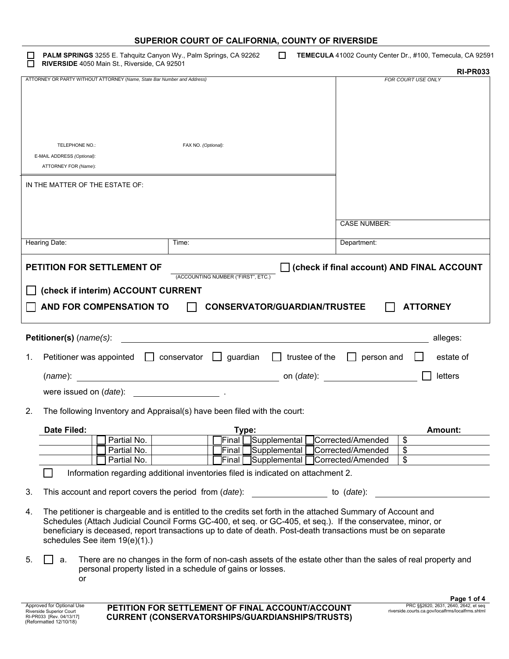| SUPERIOR COURT OF CALIFORNIA, COUNTY OF RIVERSIDE |  |
|---------------------------------------------------|--|
|---------------------------------------------------|--|

 **PALM SPRINGS** 3255 E. Tahquitz Canyon Wy., Palm Springs, CA 92262 **TEMECULA** 41002 County Center Dr., #100, Temecula, CA 92591 **RIVERSIDE** 4050 Main St., Riverside, CA 92501

|                                                                                                                                                                                                                                                                                                                                                                                     | <b>RI-PR033</b>                                       |
|-------------------------------------------------------------------------------------------------------------------------------------------------------------------------------------------------------------------------------------------------------------------------------------------------------------------------------------------------------------------------------------|-------------------------------------------------------|
| ATTORNEY OR PARTY WITHOUT ATTORNEY (Name, State Bar Number and Address)                                                                                                                                                                                                                                                                                                             | FOR COURT USE ONLY                                    |
|                                                                                                                                                                                                                                                                                                                                                                                     |                                                       |
|                                                                                                                                                                                                                                                                                                                                                                                     |                                                       |
|                                                                                                                                                                                                                                                                                                                                                                                     |                                                       |
| TELEPHONE NO.:<br>FAX NO. (Optional):                                                                                                                                                                                                                                                                                                                                               |                                                       |
| E-MAIL ADDRESS (Optional):<br>ATTORNEY FOR (Name):                                                                                                                                                                                                                                                                                                                                  |                                                       |
| IN THE MATTER OF THE ESTATE OF:                                                                                                                                                                                                                                                                                                                                                     |                                                       |
|                                                                                                                                                                                                                                                                                                                                                                                     |                                                       |
|                                                                                                                                                                                                                                                                                                                                                                                     |                                                       |
|                                                                                                                                                                                                                                                                                                                                                                                     | <b>CASE NUMBER:</b>                                   |
| Hearing Date:<br>Time:                                                                                                                                                                                                                                                                                                                                                              | Department:                                           |
| PETITION FOR SETTLEMENT OF                                                                                                                                                                                                                                                                                                                                                          | check if final account) AND FINAL ACCOUNT [           |
| (ACCOUNTING NUMBER ("FIRST", ETC.)                                                                                                                                                                                                                                                                                                                                                  |                                                       |
| (check if interim) ACCOUNT CURRENT                                                                                                                                                                                                                                                                                                                                                  |                                                       |
| AND FOR COMPENSATION TO<br><b>CONSERVATOR/GUARDIAN/TRUSTEE</b>                                                                                                                                                                                                                                                                                                                      | <b>ATTORNEY</b>                                       |
|                                                                                                                                                                                                                                                                                                                                                                                     |                                                       |
| Petitioner(s) (name(s):                                                                                                                                                                                                                                                                                                                                                             | alleges:                                              |
| $\Box$ guardian<br>trustee of the<br>Petitioner was appointed<br>conservator<br>1.<br>$\mathbf{L}$                                                                                                                                                                                                                                                                                  | person and<br>estate of<br>$\Box$                     |
| <u> 1980 - Johann Stein, marwolaethau a bh</u><br>(name):                                                                                                                                                                                                                                                                                                                           | letters<br>on ( <i>date</i> ):                        |
| were issued on (date):                                                                                                                                                                                                                                                                                                                                                              |                                                       |
| 2.<br>The following Inventory and Appraisal(s) have been filed with the court:                                                                                                                                                                                                                                                                                                      |                                                       |
| Date Filed:                                                                                                                                                                                                                                                                                                                                                                         | Amount:                                               |
| Supplemental Corrected/Amended<br>Partial No.<br>Final<br>Supplemental<br>Partial No.<br>Final                                                                                                                                                                                                                                                                                      | $\boldsymbol{\mathsf{\$}}$<br>\$<br>Corrected/Amended |
| Partial No.<br>Supplemental<br>Final                                                                                                                                                                                                                                                                                                                                                | \$<br>Corrected/Amended                               |
| Information regarding additional inventories filed is indicated on attachment 2.                                                                                                                                                                                                                                                                                                    |                                                       |
| 3.<br>This account and report covers the period from (date):                                                                                                                                                                                                                                                                                                                        | to $(data)$ :                                         |
| The petitioner is chargeable and is entitled to the credits set forth in the attached Summary of Account and<br>4.<br>Schedules (Attach Judicial Council Forms GC-400, et seq. or GC-405, et seq.). If the conservatee, minor, or<br>beneficiary is deceased, report transactions up to date of death. Post-death transactions must be on separate<br>schedules See item 19(e)(1).) |                                                       |
| There are no changes in the form of non-cash assets of the estate other than the sales of real property and<br>5.<br>a.<br>personal property listed in a schedule of gains or losses.<br>or                                                                                                                                                                                         |                                                       |
|                                                                                                                                                                                                                                                                                                                                                                                     | Page 1 of 4                                           |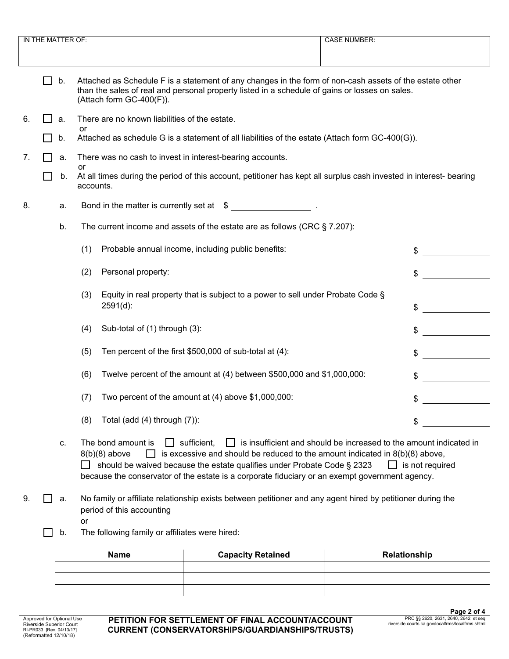|    | The current income and assets of the estate are as follows (CRC $\S$ 7.207):<br>b. |                                                                                                                                         |                                                                                                                                                                                                                                                                                   |                                                                                              |
|----|------------------------------------------------------------------------------------|-----------------------------------------------------------------------------------------------------------------------------------------|-----------------------------------------------------------------------------------------------------------------------------------------------------------------------------------------------------------------------------------------------------------------------------------|----------------------------------------------------------------------------------------------|
|    |                                                                                    | (1)                                                                                                                                     | Probable annual income, including public benefits:                                                                                                                                                                                                                                | \$                                                                                           |
|    |                                                                                    | Personal property:<br>(2)                                                                                                               |                                                                                                                                                                                                                                                                                   | \$                                                                                           |
|    |                                                                                    | (3)<br>$2591(d)$ :                                                                                                                      | Equity in real property that is subject to a power to sell under Probate Code §                                                                                                                                                                                                   | \$                                                                                           |
|    |                                                                                    | Sub-total of (1) through (3):<br>(4)                                                                                                    |                                                                                                                                                                                                                                                                                   | \$                                                                                           |
|    |                                                                                    | (5)                                                                                                                                     | Ten percent of the first \$500,000 of sub-total at (4):                                                                                                                                                                                                                           | \$                                                                                           |
|    |                                                                                    | (6)                                                                                                                                     | Twelve percent of the amount at (4) between \$500,000 and \$1,000,000:                                                                                                                                                                                                            | \$                                                                                           |
|    |                                                                                    | (7)                                                                                                                                     | Two percent of the amount at (4) above \$1,000,000:                                                                                                                                                                                                                               | \$                                                                                           |
|    |                                                                                    | Total (add (4) through (7)):<br>(8)                                                                                                     |                                                                                                                                                                                                                                                                                   | \$                                                                                           |
|    | c.                                                                                 | The bond amount is<br>$8(b)(8)$ above                                                                                                   | $\Box$ sufficient,<br>is excessive and should be reduced to the amount indicated in $8(b)(8)$ above,<br>should be waived because the estate qualifies under Probate Code § 2323<br>because the conservator of the estate is a corporate fiduciary or an exempt government agency. | is insufficient and should be increased to the amount indicated in<br>$\Box$ is not required |
| 9. | a.                                                                                 | No family or affiliate relationship exists between petitioner and any agent hired by petitioner during the<br>period of this accounting |                                                                                                                                                                                                                                                                                   |                                                                                              |
|    | b.                                                                                 | <b>or</b><br>The following family or affiliates were hired:                                                                             |                                                                                                                                                                                                                                                                                   |                                                                                              |
|    |                                                                                    | <b>Name</b>                                                                                                                             | <b>Capacity Retained</b>                                                                                                                                                                                                                                                          | Relationship                                                                                 |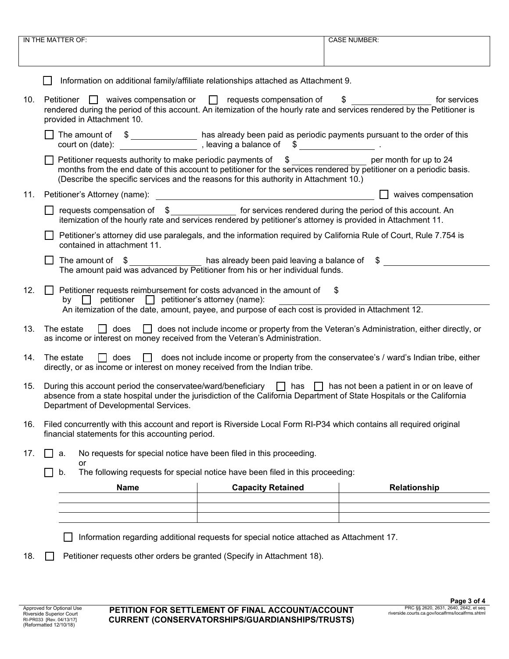| IN THE MATTER OF: |                                                                                                                                                                                                                                                                                           |                                                                                                                                                                                                              | <b>CASE NUMBER:</b>                                                                             |
|-------------------|-------------------------------------------------------------------------------------------------------------------------------------------------------------------------------------------------------------------------------------------------------------------------------------------|--------------------------------------------------------------------------------------------------------------------------------------------------------------------------------------------------------------|-------------------------------------------------------------------------------------------------|
|                   |                                                                                                                                                                                                                                                                                           |                                                                                                                                                                                                              |                                                                                                 |
|                   |                                                                                                                                                                                                                                                                                           | Information on additional family/affiliate relationships attached as Attachment 9.                                                                                                                           |                                                                                                 |
| 10.               | Petitioner $\Box$ waives compensation or $\Box$ requests compensation of<br>for services<br>$\frac{1}{2}$<br>rendered during the period of this account. An itemization of the hourly rate and services rendered by the Petitioner is<br>provided in Attachment 10.                       |                                                                                                                                                                                                              |                                                                                                 |
|                   | The amount of $\frac{1}{2}$ has already been paid as periodic payments pursuant to the order of this court on (date):                                                                                                                                                                     |                                                                                                                                                                                                              |                                                                                                 |
|                   | Petitioner requests authority to make periodic payments of \$                                                                                                                                                                                                                             | months from the end date of this account to petitioner for the services rendered by petitioner on a periodic basis.<br>(Describe the specific services and the reasons for this authority in Attachment 10.) | per month for up to 24                                                                          |
| 11.               | Petitioner's Attorney (name):                                                                                                                                                                                                                                                             | <u> 1989 - Johann Barn, mars ar breithinn ar chuid ann an t-Alban ann an t-Alban ann an t-Alban ann an t-Alban a</u>                                                                                         | $\Box$ waives compensation                                                                      |
|                   | □ requests compensation of \$<br><u> secount</u> for services rendered during the period of this account. An                                                                                                                                                                              | itemization of the hourly rate and services rendered by petitioner's attorney is provided in Attachment 11.                                                                                                  |                                                                                                 |
|                   | contained in attachment 11.                                                                                                                                                                                                                                                               | Petitioner's attorney did use paralegals, and the information required by California Rule of Court, Rule 7.754 is                                                                                            |                                                                                                 |
|                   | The amount of $\frac{1}{2}$ has already been paid leaving a balance of $\frac{1}{2}$ The amount paid was advanced by Petitioner from his or her individual funds.<br>$\perp$                                                                                                              |                                                                                                                                                                                                              |                                                                                                 |
| 12.               | Petitioner requests reimbursement for costs advanced in the amount of \$<br>$\perp$<br>by $\Box$ petitioner $\Box$ petitioner's attorney (name):                                                                                                                                          | An itemization of the date, amount, payee, and purpose of each cost is provided in Attachment 12.                                                                                                            |                                                                                                 |
| 13.               | The estate<br>as income or interest on money received from the Veteran's Administration.                                                                                                                                                                                                  |                                                                                                                                                                                                              | does does not include income or property from the Veteran's Administration, either directly, or |
| 14.               | does does not include income or property from the conservatee's / ward's Indian tribe, either<br>The estate<br>directly, or as income or interest on money received from the Indian tribe.                                                                                                |                                                                                                                                                                                                              |                                                                                                 |
| 15.               | During this account period the conservatee/ward/beneficiary $\Box$ has $\Box$ has not been a patient in or on leave of<br>absence from a state hospital under the jurisdiction of the California Department of State Hospitals or the California<br>Department of Developmental Services. |                                                                                                                                                                                                              |                                                                                                 |
| 16.               | Filed concurrently with this account and report is Riverside Local Form RI-P34 which contains all required original<br>financial statements for this accounting period.                                                                                                                   |                                                                                                                                                                                                              |                                                                                                 |
| 17.               | a.<br>$\mathsf{L}$                                                                                                                                                                                                                                                                        | No requests for special notice have been filed in this proceeding.                                                                                                                                           |                                                                                                 |
|                   | or<br>b.                                                                                                                                                                                                                                                                                  | The following requests for special notice have been filed in this proceeding:                                                                                                                                |                                                                                                 |
|                   | <b>Name</b>                                                                                                                                                                                                                                                                               | <b>Capacity Retained</b>                                                                                                                                                                                     | Relationship                                                                                    |
|                   |                                                                                                                                                                                                                                                                                           |                                                                                                                                                                                                              |                                                                                                 |
|                   |                                                                                                                                                                                                                                                                                           |                                                                                                                                                                                                              |                                                                                                 |
|                   |                                                                                                                                                                                                                                                                                           | Information regarding additional requests for special notice attached as Attachment 17.                                                                                                                      |                                                                                                 |
| 18.               | Petitioner requests other orders be granted (Specify in Attachment 18).                                                                                                                                                                                                                   |                                                                                                                                                                                                              |                                                                                                 |